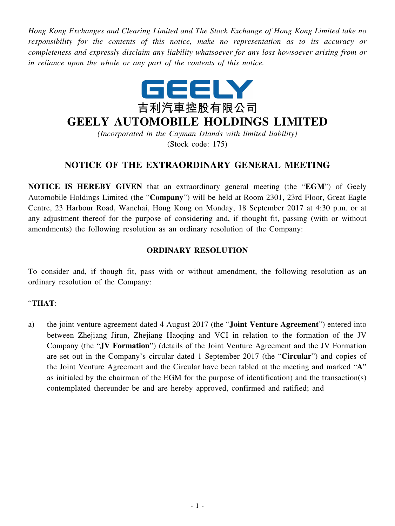*Hong Kong Exchanges and Clearing Limited and The Stock Exchange of Hong Kong Limited take no responsibility for the contents of this notice, make no representation as to its accuracy or completeness and expressly disclaim any liability whatsoever for any loss howsoever arising from or in reliance upon the whole or any part of the contents of this notice.*



## **GEELY AUTOMOBILE HOLDINGS LIMITED**

*(Incorporated in the Cayman Islands with limited liability)* (Stock code: 175)

## **NOTICE OF THE EXTRAORDINARY GENERAL MEETING**

**NOTICE IS HEREBY GIVEN** that an extraordinary general meeting (the "**EGM**") of Geely Automobile Holdings Limited (the "**Company**") will be held at Room 2301, 23rd Floor, Great Eagle Centre, 23 Harbour Road, Wanchai, Hong Kong on Monday, 18 September 2017 at 4:30 p.m. or at any adjustment thereof for the purpose of considering and, if thought fit, passing (with or without amendments) the following resolution as an ordinary resolution of the Company:

## **ORDINARY RESOLUTION**

To consider and, if though fit, pass with or without amendment, the following resolution as an ordinary resolution of the Company:

## "**THAT**:

a) the joint venture agreement dated 4 August 2017 (the "**Joint Venture Agreement**") entered into between Zhejiang Jirun, Zhejiang Haoqing and VCI in relation to the formation of the JV Company (the "**JV Formation**") (details of the Joint Venture Agreement and the JV Formation are set out in the Company's circular dated 1 September 2017 (the "**Circular**") and copies of the Joint Venture Agreement and the Circular have been tabled at the meeting and marked "**A**" as initialed by the chairman of the EGM for the purpose of identification) and the transaction(s) contemplated thereunder be and are hereby approved, confirmed and ratified; and